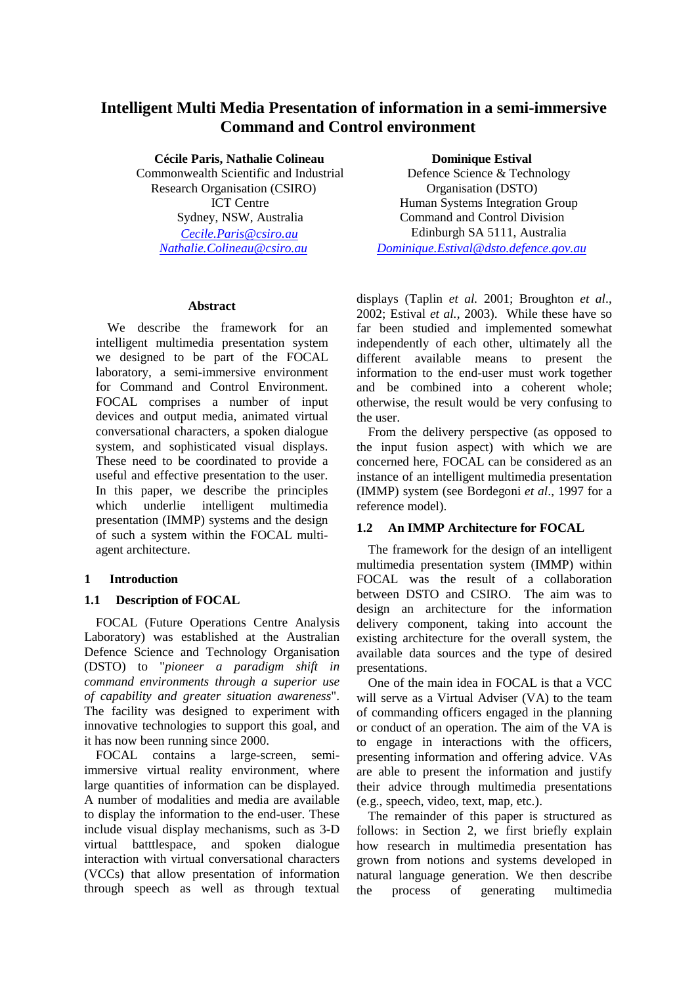# **Intelligent Multi Media Presentation of information in a semi-immersive Command and Control environment**

**Cécile Paris, Nathalie Colineau**  Commonwealth Scientific and Industrial Research Organisation (CSIRO) ICT Centre Sydney, NSW, Australia *Cecile.Paris@csiro.au Nathalie.Colineau@csiro.au*

### **Abstract**

We describe the framework for an intelligent multimedia presentation system we designed to be part of the FOCAL laboratory, a semi-immersive environment for Command and Control Environment. FOCAL comprises a number of input devices and output media, animated virtual conversational characters, a spoken dialogue system, and sophisticated visual displays. These need to be coordinated to provide a useful and effective presentation to the user. In this paper, we describe the principles which underlie intelligent multimedia presentation (IMMP) systems and the design of such a system within the FOCAL multiagent architecture.

# **1 Introduction**

# **1.1 Description of FOCAL**

FOCAL (Future Operations Centre Analysis Laboratory) was established at the Australian Defence Science and Technology Organisation (DSTO) to "*pioneer a paradigm shift in command environments through a superior use of capability and greater situation awareness*". The facility was designed to experiment with innovative technologies to support this goal, and it has now been running since 2000.

FOCAL contains a large-screen, semiimmersive virtual reality environment, where large quantities of information can be displayed. A number of modalities and media are available to display the information to the end-user. These include visual display mechanisms, such as 3-D virtual batttlespace, and spoken dialogue interaction with virtual conversational characters (VCCs) that allow presentation of information through speech as well as through textual

**Dominique Estival** 

Defence Science & Technology Organisation (DSTO) Human Systems Integration Group Command and Control Division Edinburgh SA 5111, Australia *Dominique.Estival@dsto.defence.gov.au*

displays (Taplin *et al.* 2001; Broughton *et al*., 2002; Estival *et al.*, 2003). While these have so far been studied and implemented somewhat independently of each other, ultimately all the different available means to present the information to the end-user must work together and be combined into a coherent whole; otherwise, the result would be very confusing to the user.

From the delivery perspective (as opposed to the input fusion aspect) with which we are concerned here, FOCAL can be considered as an instance of an intelligent multimedia presentation (IMMP) system (see Bordegoni *et al*., 1997 for a reference model).

# **1.2 An IMMP Architecture for FOCAL**

The framework for the design of an intelligent multimedia presentation system (IMMP) within FOCAL was the result of a collaboration between DSTO and CSIRO. The aim was to design an architecture for the information delivery component, taking into account the existing architecture for the overall system, the available data sources and the type of desired presentations.

One of the main idea in FOCAL is that a VCC will serve as a Virtual Adviser (VA) to the team of commanding officers engaged in the planning or conduct of an operation. The aim of the VA is to engage in interactions with the officers, presenting information and offering advice. VAs are able to present the information and justify their advice through multimedia presentations (e.g., speech, video, text, map, etc.).

The remainder of this paper is structured as follows: in Section 2, we first briefly explain how research in multimedia presentation has grown from notions and systems developed in natural language generation. We then describe the process of generating multimedia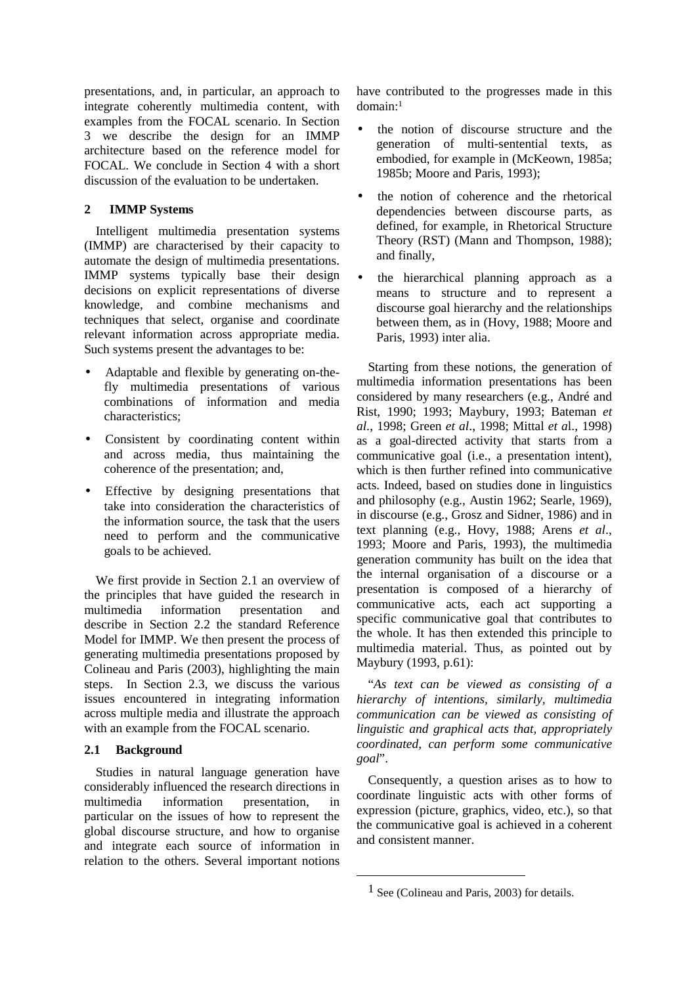presentations, and, in particular, an approach to integrate coherently multimedia content, with examples from the FOCAL scenario. In Section 3 we describe the design for an IMMP architecture based on the reference model for FOCAL. We conclude in Section 4 with a short discussion of the evaluation to be undertaken.

# **2 IMMP Systems**

Intelligent multimedia presentation systems (IMMP) are characterised by their capacity to automate the design of multimedia presentations. IMMP systems typically base their design decisions on explicit representations of diverse knowledge, and combine mechanisms and techniques that select, organise and coordinate relevant information across appropriate media. Such systems present the advantages to be:

- Adaptable and flexible by generating on-thefly multimedia presentations of various combinations of information and media characteristics;
- Consistent by coordinating content within and across media, thus maintaining the coherence of the presentation; and,
- Effective by designing presentations that take into consideration the characteristics of the information source, the task that the users need to perform and the communicative goals to be achieved.

We first provide in Section 2.1 an overview of the principles that have guided the research in multimedia information presentation and describe in Section 2.2 the standard Reference Model for IMMP. We then present the process of generating multimedia presentations proposed by Colineau and Paris (2003), highlighting the main steps. In Section 2.3, we discuss the various issues encountered in integrating information across multiple media and illustrate the approach with an example from the FOCAL scenario.

# **2.1 Background**

Studies in natural language generation have considerably influenced the research directions in multimedia information presentation, in particular on the issues of how to represent the global discourse structure, and how to organise and integrate each source of information in relation to the others. Several important notions have contributed to the progresses made in this domain:<sup>1</sup>

- the notion of discourse structure and the generation of multi-sentential texts, as embodied, for example in (McKeown, 1985a; 1985b; Moore and Paris, 1993);
- the notion of coherence and the rhetorical dependencies between discourse parts, as defined, for example, in Rhetorical Structure Theory (RST) (Mann and Thompson, 1988); and finally,
- the hierarchical planning approach as a means to structure and to represent a discourse goal hierarchy and the relationships between them, as in (Hovy, 1988; Moore and Paris, 1993) inter alia.

Starting from these notions, the generation of multimedia information presentations has been considered by many researchers (e.g., André and Rist, 1990; 1993; Maybury, 1993; Bateman *et al*., 1998; Green *et al*., 1998; Mittal *et a*l., 1998) as a goal-directed activity that starts from a communicative goal (i.e., a presentation intent), which is then further refined into communicative acts. Indeed, based on studies done in linguistics and philosophy (e.g., Austin 1962; Searle, 1969), in discourse (e.g., Grosz and Sidner, 1986) and in text planning (e.g., Hovy, 1988; Arens *et al*., 1993; Moore and Paris, 1993), the multimedia generation community has built on the idea that the internal organisation of a discourse or a presentation is composed of a hierarchy of communicative acts, each act supporting a specific communicative goal that contributes to the whole. It has then extended this principle to multimedia material. Thus, as pointed out by Maybury (1993, p.61):

"*As text can be viewed as consisting of a hierarchy of intentions, similarly, multimedia communication can be viewed as consisting of linguistic and graphical acts that, appropriately coordinated, can perform some communicative goal*".

Consequently, a question arises as to how to coordinate linguistic acts with other forms of expression (picture, graphics, video, etc.), so that the communicative goal is achieved in a coherent and consistent manner.

 $\overline{a}$ 

 $1$  See (Colineau and Paris, 2003) for details.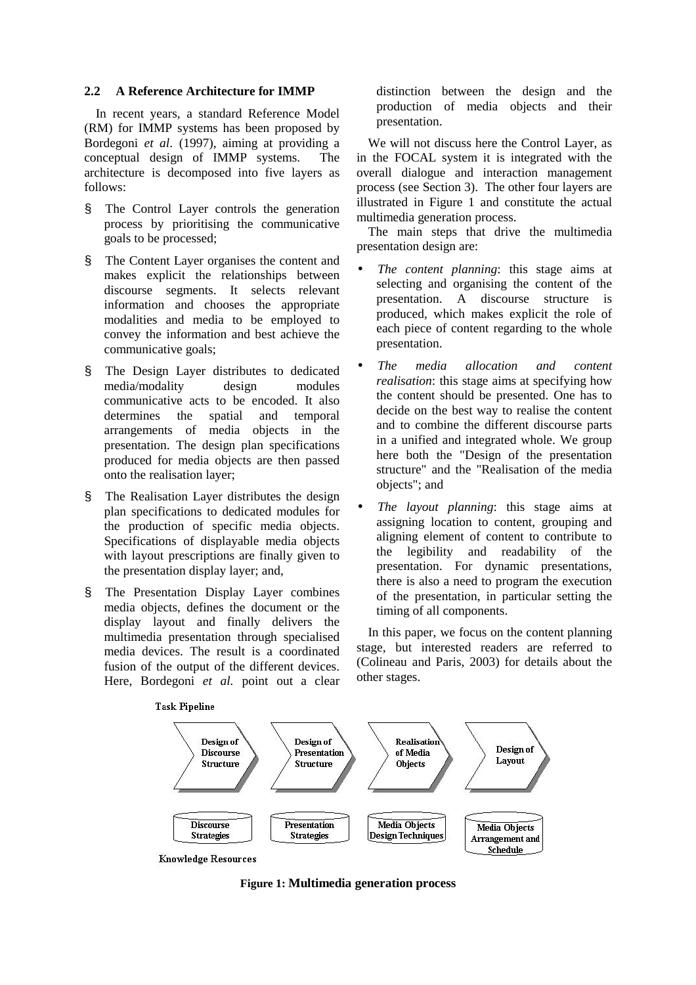### **2.2 A Reference Architecture for IMMP**

In recent years, a standard Reference Model (RM) for IMMP systems has been proposed by Bordegoni *et al*. (1997), aiming at providing a conceptual design of IMMP systems. The architecture is decomposed into five layers as follows:

- § The Control Layer controls the generation process by prioritising the communicative goals to be processed;
- § The Content Layer organises the content and makes explicit the relationships between discourse segments. It selects relevant information and chooses the appropriate modalities and media to be employed to convey the information and best achieve the communicative goals;
- § The Design Layer distributes to dedicated media/modality design modules communicative acts to be encoded. It also determines the spatial and temporal arrangements of media objects in the presentation. The design plan specifications produced for media objects are then passed onto the realisation layer;
- § The Realisation Layer distributes the design plan specifications to dedicated modules for the production of specific media objects. Specifications of displayable media objects with layout prescriptions are finally given to the presentation display layer; and,
- § The Presentation Display Layer combines media objects, defines the document or the display layout and finally delivers the multimedia presentation through specialised media devices. The result is a coordinated fusion of the output of the different devices. Here, Bordegoni *et al.* point out a clear

distinction between the design and the production of media objects and their presentation.

We will not discuss here the Control Layer, as in the FOCAL system it is integrated with the overall dialogue and interaction management process (see Section 3). The other four layers are illustrated in Figure 1 and constitute the actual multimedia generation process.

The main steps that drive the multimedia presentation design are:

- *The content planning*: this stage aims at selecting and organising the content of the presentation. A discourse structure is produced, which makes explicit the role of each piece of content regarding to the whole presentation.
- *The media allocation and content realisation*: this stage aims at specifying how the content should be presented. One has to decide on the best way to realise the content and to combine the different discourse parts in a unified and integrated whole. We group here both the "Design of the presentation structure" and the "Realisation of the media objects"; and
- *The layout planning*: this stage aims at assigning location to content, grouping and aligning element of content to contribute to the legibility and readability of the presentation. For dynamic presentations, there is also a need to program the execution of the presentation, in particular setting the timing of all components.

In this paper, we focus on the content planning stage, but interested readers are referred to (Colineau and Paris, 2003) for details about the other stages.







**Figure 1: Multimedia generation process**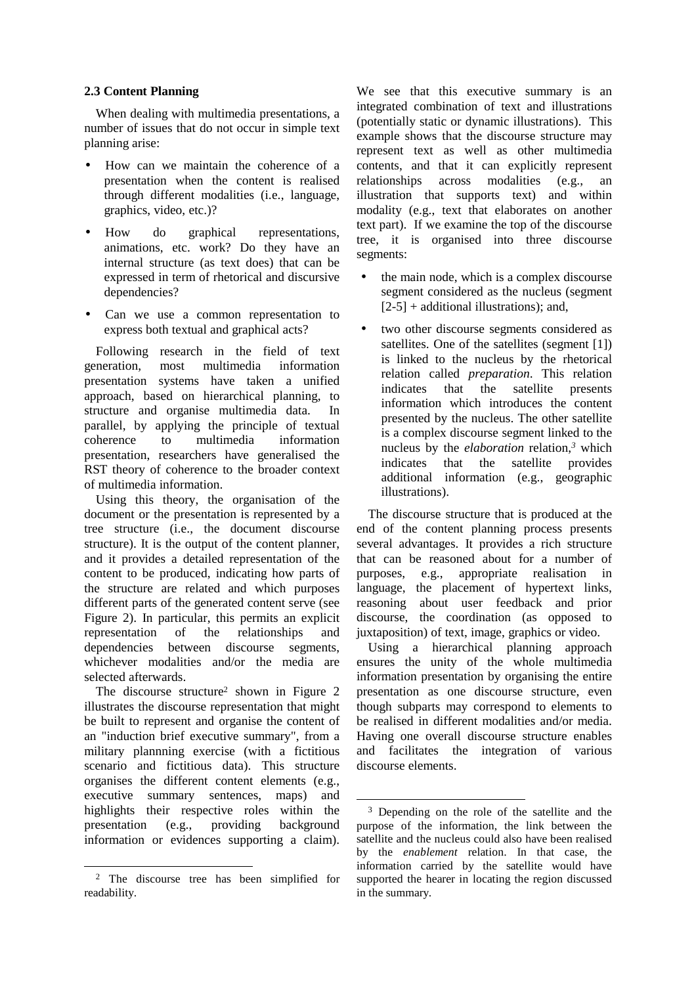## **2.3 Content Planning**

When dealing with multimedia presentations, a number of issues that do not occur in simple text planning arise:

- How can we maintain the coherence of a presentation when the content is realised through different modalities (i.e., language, graphics, video, etc.)?
- How do graphical representations, animations, etc. work? Do they have an internal structure (as text does) that can be expressed in term of rhetorical and discursive dependencies?
- Can we use a common representation to express both textual and graphical acts?

Following research in the field of text generation, most multimedia information presentation systems have taken a unified approach, based on hierarchical planning, to structure and organise multimedia data. In parallel, by applying the principle of textual coherence to multimedia information presentation, researchers have generalised the RST theory of coherence to the broader context of multimedia information.

Using this theory, the organisation of the document or the presentation is represented by a tree structure (i.e., the document discourse structure). It is the output of the content planner, and it provides a detailed representation of the content to be produced, indicating how parts of the structure are related and which purposes different parts of the generated content serve (see Figure 2). In particular, this permits an explicit representation of the relationships and dependencies between discourse segments, whichever modalities and/or the media are selected afterwards.

The discourse structure<sup>2</sup> shown in Figure 2 illustrates the discourse representation that might be built to represent and organise the content of an "induction brief executive summary", from a military plannning exercise (with a fictitious scenario and fictitious data). This structure organises the different content elements (e.g., executive summary sentences, maps) and highlights their respective roles within the presentation (e.g., providing background information or evidences supporting a claim).

 $\overline{a}$ 

We see that this executive summary is an integrated combination of text and illustrations (potentially static or dynamic illustrations). This example shows that the discourse structure may represent text as well as other multimedia contents, and that it can explicitly represent relationships across modalities (e.g., an illustration that supports text) and within modality (e.g., text that elaborates on another text part). If we examine the top of the discourse tree, it is organised into three discourse segments:

- the main node, which is a complex discourse segment considered as the nucleus (segment  $[2-5]$  + additional illustrations); and,
- two other discourse segments considered as satellites. One of the satellites (segment [1]) is linked to the nucleus by the rhetorical relation called *preparation*. This relation indicates that the satellite presents information which introduces the content presented by the nucleus. The other satellite is a complex discourse segment linked to the nucleus by the *elaboration* relation,*<sup>3</sup>* which indicates that the satellite provides additional information (e.g., geographic illustrations).

The discourse structure that is produced at the end of the content planning process presents several advantages. It provides a rich structure that can be reasoned about for a number of purposes, e.g., appropriate realisation in language, the placement of hypertext links, reasoning about user feedback and prior discourse, the coordination (as opposed to juxtaposition) of text, image, graphics or video.

Using a hierarchical planning approach ensures the unity of the whole multimedia information presentation by organising the entire presentation as one discourse structure, even though subparts may correspond to elements to be realised in different modalities and/or media. Having one overall discourse structure enables and facilitates the integration of various discourse elements.

 $\overline{a}$ 

<sup>&</sup>lt;sup>2</sup> The discourse tree has been simplified for readability.

<sup>&</sup>lt;sup>3</sup> Depending on the role of the satellite and the purpose of the information, the link between the satellite and the nucleus could also have been realised by the *enablement* relation. In that case, the information carried by the satellite would have supported the hearer in locating the region discussed in the summary.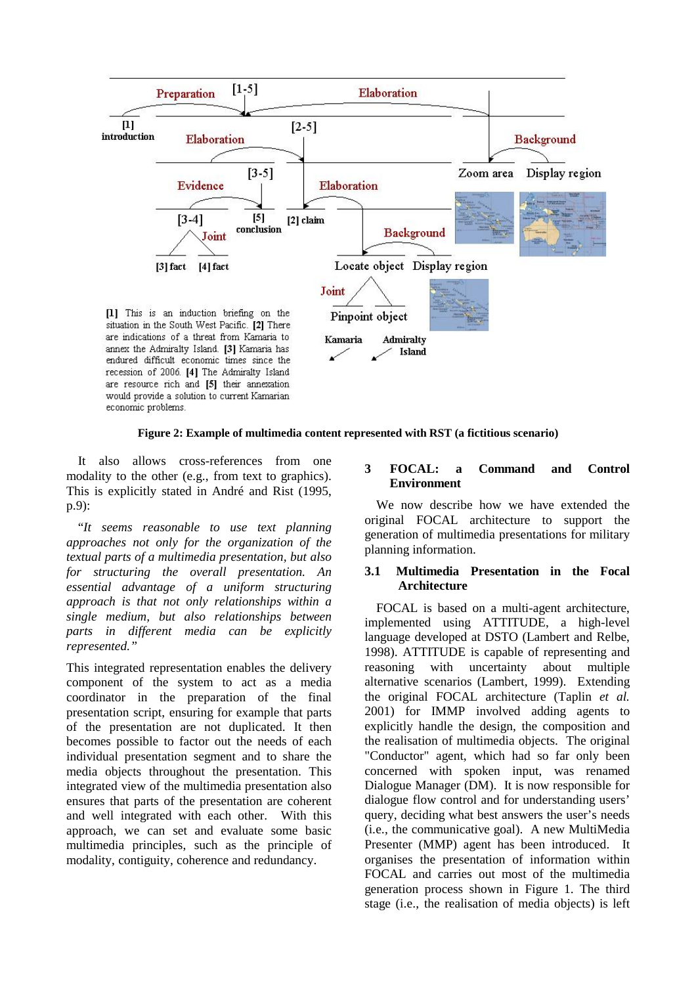

#### **Figure 2: Example of multimedia content represented with RST (a fictitious scenario)**

It also allows cross-references from one modality to the other (e.g., from text to graphics). This is explicitly stated in André and Rist (1995, p.9):

"*It seems reasonable to use text planning approaches not only for the organization of the textual parts of a multimedia presentation, but also for structuring the overall presentation. An essential advantage of a uniform structuring approach is that not only relationships within a single medium, but also relationships between parts in different media can be explicitly represented."* 

This integrated representation enables the delivery component of the system to act as a media coordinator in the preparation of the final presentation script, ensuring for example that parts of the presentation are not duplicated. It then becomes possible to factor out the needs of each individual presentation segment and to share the media objects throughout the presentation. This integrated view of the multimedia presentation also ensures that parts of the presentation are coherent and well integrated with each other. With this approach, we can set and evaluate some basic multimedia principles, such as the principle of modality, contiguity, coherence and redundancy.

# **3 FOCAL: a Command and Control Environment**

We now describe how we have extended the original FOCAL architecture to support the generation of multimedia presentations for military planning information.

## **3.1 Multimedia Presentation in the Focal Architecture**

FOCAL is based on a multi-agent architecture, implemented using ATTITUDE, a high-level language developed at DSTO (Lambert and Relbe, 1998). ATTITUDE is capable of representing and reasoning with uncertainty about multiple alternative scenarios (Lambert, 1999). Extending the original FOCAL architecture (Taplin *et al.* 2001) for IMMP involved adding agents to explicitly handle the design, the composition and the realisation of multimedia objects. The original "Conductor" agent, which had so far only been concerned with spoken input, was renamed Dialogue Manager (DM). It is now responsible for dialogue flow control and for understanding users' query, deciding what best answers the user's needs (i.e., the communicative goal). A new MultiMedia Presenter (MMP) agent has been introduced. It organises the presentation of information within FOCAL and carries out most of the multimedia generation process shown in Figure 1. The third stage (i.e., the realisation of media objects) is left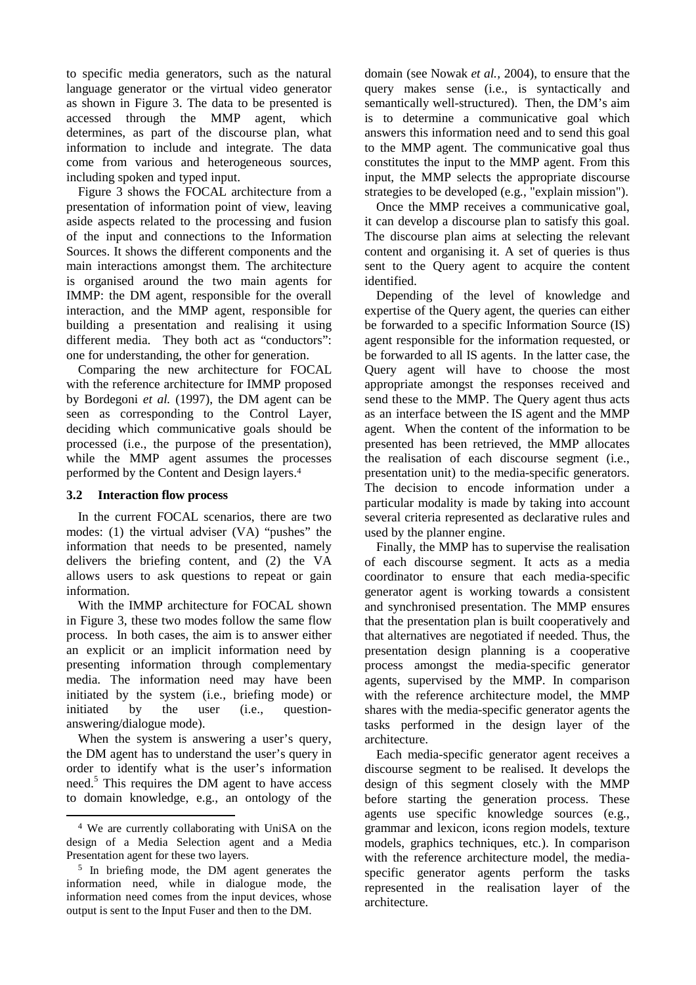to specific media generators, such as the natural language generator or the virtual video generator as shown in Figure 3. The data to be presented is accessed through the MMP agent, which determines, as part of the discourse plan, what information to include and integrate. The data come from various and heterogeneous sources, including spoken and typed input.

Figure 3 shows the FOCAL architecture from a presentation of information point of view, leaving aside aspects related to the processing and fusion of the input and connections to the Information Sources. It shows the different components and the main interactions amongst them. The architecture is organised around the two main agents for IMMP: the DM agent, responsible for the overall interaction, and the MMP agent, responsible for building a presentation and realising it using different media. They both act as "conductors": one for understanding, the other for generation.

Comparing the new architecture for FOCAL with the reference architecture for IMMP proposed by Bordegoni *et al.* (1997), the DM agent can be seen as corresponding to the Control Layer, deciding which communicative goals should be processed (i.e., the purpose of the presentation), while the MMP agent assumes the processes performed by the Content and Design layers.<sup>4</sup>

### **3.2 Interaction flow process**

In the current FOCAL scenarios, there are two modes: (1) the virtual adviser (VA) "pushes" the information that needs to be presented, namely delivers the briefing content, and (2) the VA allows users to ask questions to repeat or gain information.

With the IMMP architecture for FOCAL shown in Figure 3, these two modes follow the same flow process. In both cases, the aim is to answer either an explicit or an implicit information need by presenting information through complementary media. The information need may have been initiated by the system (i.e., briefing mode) or initiated by the user (i.e., questionanswering/dialogue mode).

When the system is answering a user's query, the DM agent has to understand the user's query in order to identify what is the user's information need.<sup>5</sup> This requires the DM agent to have access to domain knowledge, e.g., an ontology of the

l

domain (see Nowak *et al.,* 2004), to ensure that the query makes sense (i.e., is syntactically and semantically well-structured). Then, the DM's aim is to determine a communicative goal which answers this information need and to send this goal to the MMP agent. The communicative goal thus constitutes the input to the MMP agent. From this input, the MMP selects the appropriate discourse strategies to be developed (e.g., "explain mission").

Once the MMP receives a communicative goal, it can develop a discourse plan to satisfy this goal. The discourse plan aims at selecting the relevant content and organising it. A set of queries is thus sent to the Query agent to acquire the content identified.

Depending of the level of knowledge and expertise of the Query agent, the queries can either be forwarded to a specific Information Source (IS) agent responsible for the information requested, or be forwarded to all IS agents. In the latter case, the Query agent will have to choose the most appropriate amongst the responses received and send these to the MMP. The Query agent thus acts as an interface between the IS agent and the MMP agent. When the content of the information to be presented has been retrieved, the MMP allocates the realisation of each discourse segment (i.e., presentation unit) to the media-specific generators. The decision to encode information under a particular modality is made by taking into account several criteria represented as declarative rules and used by the planner engine.

Finally, the MMP has to supervise the realisation of each discourse segment. It acts as a media coordinator to ensure that each media-specific generator agent is working towards a consistent and synchronised presentation. The MMP ensures that the presentation plan is built cooperatively and that alternatives are negotiated if needed. Thus, the presentation design planning is a cooperative process amongst the media-specific generator agents, supervised by the MMP. In comparison with the reference architecture model, the MMP shares with the media-specific generator agents the tasks performed in the design layer of the architecture.

Each media-specific generator agent receives a discourse segment to be realised. It develops the design of this segment closely with the MMP before starting the generation process. These agents use specific knowledge sources (e.g., grammar and lexicon, icons region models, texture models, graphics techniques, etc.). In comparison with the reference architecture model, the mediaspecific generator agents perform the tasks represented in the realisation layer of the architecture.

<sup>4</sup> We are currently collaborating with UniSA on the design of a Media Selection agent and a Media Presentation agent for these two layers.

<sup>5</sup> In briefing mode, the DM agent generates the information need, while in dialogue mode, the information need comes from the input devices, whose output is sent to the Input Fuser and then to the DM.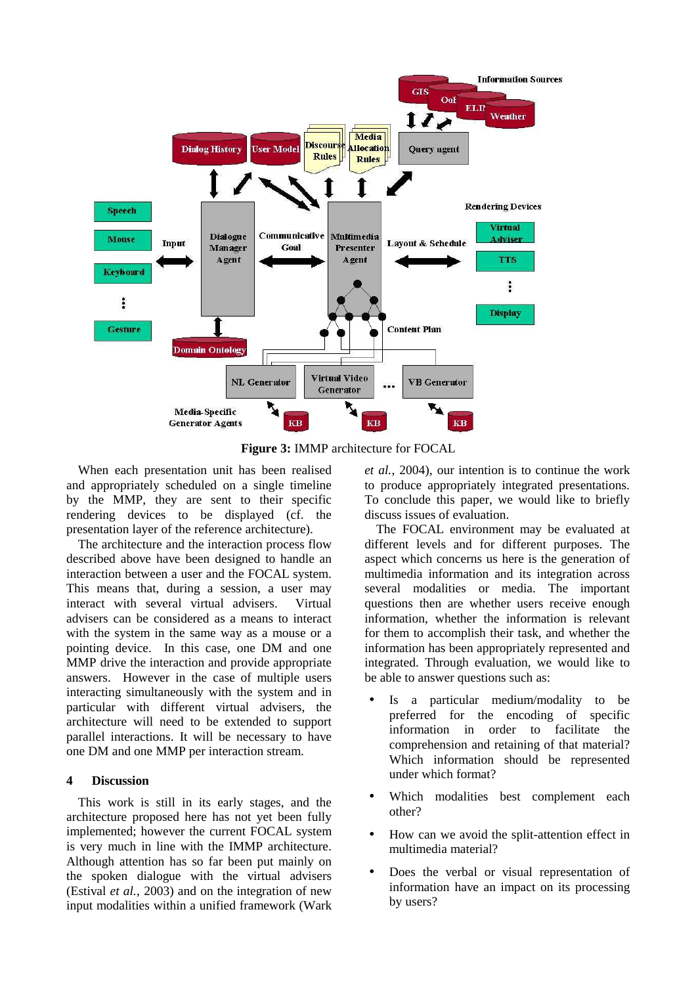

**Figure 3:** IMMP architecture for FOCAL

When each presentation unit has been realised and appropriately scheduled on a single timeline by the MMP, they are sent to their specific rendering devices to be displayed (cf. the presentation layer of the reference architecture).

The architecture and the interaction process flow described above have been designed to handle an interaction between a user and the FOCAL system. This means that, during a session, a user may interact with several virtual advisers. Virtual advisers can be considered as a means to interact with the system in the same way as a mouse or a pointing device. In this case, one DM and one MMP drive the interaction and provide appropriate answers. However in the case of multiple users interacting simultaneously with the system and in particular with different virtual advisers, the architecture will need to be extended to support parallel interactions. It will be necessary to have one DM and one MMP per interaction stream.

# **4 Discussion**

This work is still in its early stages, and the architecture proposed here has not yet been fully implemented; however the current FOCAL system is very much in line with the IMMP architecture. Although attention has so far been put mainly on the spoken dialogue with the virtual advisers (Estival *et al.*, 2003) and on the integration of new input modalities within a unified framework (Wark *et al.*, 2004), our intention is to continue the work to produce appropriately integrated presentations. To conclude this paper, we would like to briefly discuss issues of evaluation.

The FOCAL environment may be evaluated at different levels and for different purposes. The aspect which concerns us here is the generation of multimedia information and its integration across several modalities or media. The important questions then are whether users receive enough information, whether the information is relevant for them to accomplish their task, and whether the information has been appropriately represented and integrated. Through evaluation, we would like to be able to answer questions such as:

- Is a particular medium/modality to be preferred for the encoding of specific information in order to facilitate the comprehension and retaining of that material? Which information should be represented under which format?
- Which modalities best complement each other?
- How can we avoid the split-attention effect in multimedia material?
- Does the verbal or visual representation of information have an impact on its processing by users?